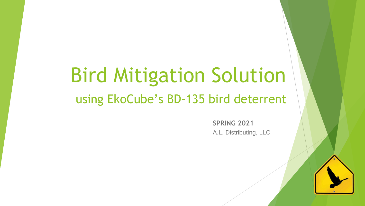# Bird Mitigation Solution using EkoCube's BD-135 bird deterrent

**SPRING 2021** A.L. Distributing, LLC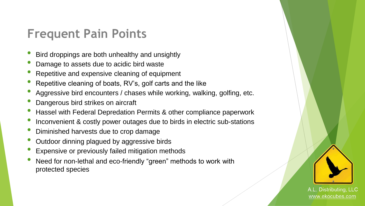### **Frequent Pain Points**

- Bird droppings are both unhealthy and unsightly
- Damage to assets due to acidic bird waste
- Repetitive and expensive cleaning of equipment
- Repetitive cleaning of boats, RV's, golf carts and the like
- Aggressive bird encounters / chases while working, walking, golfing, etc.
- Dangerous bird strikes on aircraft
- Hassel with Federal Depredation Permits & other compliance paperwork
- Inconvenient & costly power outages due to birds in electric sub-stations
- Diminished harvests due to crop damage
- Outdoor dinning plagued by aggressive birds
- Expensive or previously failed mitigation methods
- Need for non-lethal and eco-friendly "green" methods to work with protected species

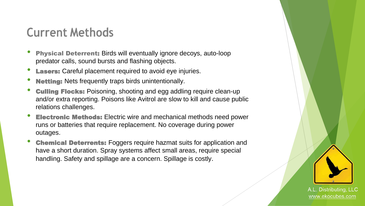# **Current Methods**

- **Physical Deterrent:** Birds will eventually ignore decoys, auto-loop predator calls, sound bursts and flashing objects.
- **Lasers:** Careful placement required to avoid eye injuries.
- **Netting:** Nets frequently traps birds unintentionally.
- **Culling Flocks:** Poisoning, shooting and egg addling require clean-up and/or extra reporting. Poisons like Avitrol are slow to kill and cause public relations challenges.
- **Electronic Methods:** Electric wire and mechanical methods need power runs or batteries that require replacement. No coverage during power outages.
- **Chemical Deterrents:** Foggers require hazmat suits for application and have a short duration. Spray systems affect small areas, require special handling. Safety and spillage are a concern. Spillage is costly.

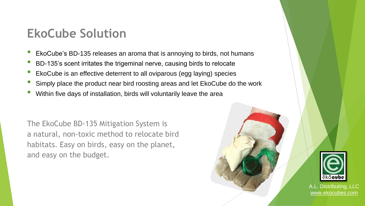### **EkoCube Solution**

- EkoCube's BD-135 releases an aroma that is annoying to birds, not humans
- BD-135's scent irritates the trigeminal nerve, causing birds to relocate
- EkoCube is an effective deterrent to all oviparous (egg laying) species
- Simply place the product near bird roosting areas and let EkoCube do the work
- Within five days of installation, birds will voluntarily leave the area

The EkoCube BD-135 Mitigation System is a natural, non-toxic method to relocate bird habitats. Easy on birds, easy on the planet, and easy on the budget.



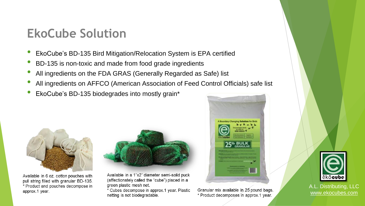### **EkoCube Solution**

- EkoCube's BD-135 Bird Mitigation/Relocation System is EPA certified
- BD-135 is non-toxic and made from food grade ingredients
- All ingredients on the FDA GRAS (Generally Regarded as Safe) list
- All ingredients on AFFCO (American Association of Feed Control Officials) safe list
- EkoCube's BD-135 biodegrades into mostly grain\*



Available in 6 oz. cotton pouches with pull string filled with granular BD-135. \* Product and pouches decompose in approx.1 year.



Available in a 1"x2" diameter semi-solid puck (affectionately called the "cube") placed in a green plastic mesh net.

\* Cubes decompose in approx.1 year. Plastic netting is not biodegradable.



Granular mix available in 25 pound bags. \* Product decomposes in approx.1 year.

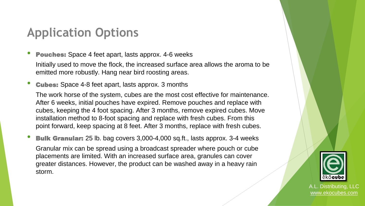# **Application Options**

**Pouches:** Space 4 feet apart, lasts approx. 4-6 weeks

Initially used to move the flock, the increased surface area allows the aroma to be emitted more robustly. Hang near bird roosting areas.

**Cubes:** Space 4-8 feet apart, lasts approx. 3 months

The work horse of the system, cubes are the most cost effective for maintenance. After 6 weeks, initial pouches have expired. Remove pouches and replace with cubes, keeping the 4 foot spacing. After 3 months, remove expired cubes. Move installation method to 8-foot spacing and replace with fresh cubes. From this point forward, keep spacing at 8 feet. After 3 months, replace with fresh cubes.

**Bulk Granular:** 25 lb. bag covers 3,000-4,000 sq.ft., lasts approx. 3-4 weeks

Granular mix can be spread using a broadcast spreader where pouch or cube placements are limited. With an increased surface area, granules can cover greater distances. However, the product can be washed away in a heavy rain storm.

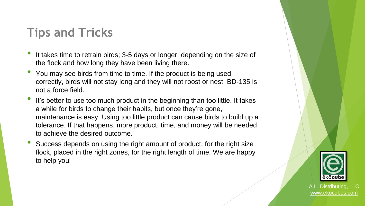# **Tips and Tricks**

- It takes time to retrain birds; 3-5 days or longer, depending on the size of the flock and how long they have been living there.
- You may see birds from time to time. If the product is being used correctly, birds will not stay long and they will not roost or nest. BD-135 is not a force field.
- It's better to use too much product in the beginning than too little. It takes a while for birds to change their habits, but once they're gone, maintenance is easy. Using too little product can cause birds to build up a tolerance. If that happens, more product, time, and money will be needed to achieve the desired outcome.
- Success depends on using the right amount of product, for the right size flock, placed in the right zones, for the right length of time. We are happy to help you!

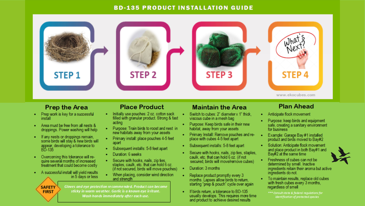#### **BD-135 PRODUCT INSTALLATION GUIDE**



#### **Prep the Area**

- Prep work is key for a successful install
- Area must be free from all nests & droppings. Power washing will help
- If any nests or droppings remain. some birds will stay & new birds will appear, developing a tolerance to
- Overcoming this tolerance will re-٠ quire several months of increased treatment that could become costly
- A successful install will yield results in 5 days or less

**SAFETY** 

**FIRST** 

#### **Place Product**

- . Initially use pouches: 2 oz. cotton sack filled with granular product. Strong & fast acting
- Purpose: Train birds to roost and nest in new habitats away from your assets
- Primary install: place pouches 4-5 feet apart
- Subsequent installs: 5-8 feet apart
- Duration: 6 weeks
- Secure with hooks, nails, zip ties, staples, caulk, etc. that can hold 6 oz. (if not secured, birds will move pouches)
- When placing, consider wind direction and strenoth

Gloves and eye protection recommended. Product can become sticky in warm weather. Garlic is a known eye irritant. Wash hands immediately after each use.

#### **Maintain the Area**

- Switch to cubes: 2" diameter x 1" thick. viscous cube in a mesh bag
- Purpose: Keep birds safe in their new habitat, away from your assets
- Primary Install: Remove pouches and replace with cubes 4-5 feet apart
- Subsequent installs: 5-8 feet apart
- Secure with hooks, nails, zip ties, staples,  $\bullet$ caulk, etc. that can hold 6 oz. (if not secured, birds will move/remove cubes)
- Duration: 3 months
- Replace product promptly every 3 months. Lapses allow birds to return. starting "prep & pouch" cycle over again
- If birds return, a tolerance to BD-135 usually develops. This requires more time and product to achieve desired results

#### **Plan Ahead**

- Anticipate flock movement
- Purpose: keep birds and equipment safe, creating a sanitary environment for business
- Example: Garage Bay #1 installed product and birds moved to Bay#2
- Solution: Anticipate flock movement and place product in both Bay#1 and<br>Bay#2 at the same time
- Freshness of cubes can not be determined by smell. Inactive ingredients retain their aroma but active ingredients do not.
- To maintain results, replace old cubes with fresh cubes every 3 months. regardless of smell
	- \*\*\* Consult state & federal requlations for identification of protected species

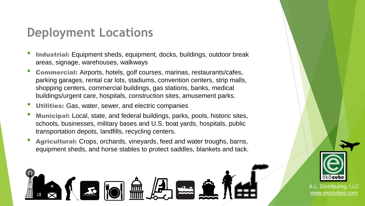# **Deployment Locations**

- **Industrial:** Equipment sheds, equipment, docks, buildings, outdoor break areas, signage, warehouses, walkways
- Commercial: Airports, hotels, golf courses, marinas, restaurants/cafes, parking garages, rental car lots, stadiums, convention centers, strip malls, shopping centers, commercial buildings, gas stations, banks, medical buildings/urgent care, hospitals, construction sites, amusement parks.
- Utilities: Gas, water, sewer, and electric companies
- Municipal: Local, state, and federal buildings, parks, pools, historic sites, schools, businesses, military bases and U.S. boat yards, hospitals, public transportation depots, landfills, recycling centers.
- Agricultural: Crops, orchards, vineyards, feed and water troughs, barns, equipment sheds, and horse stables to protect saddles, blankets and tack.